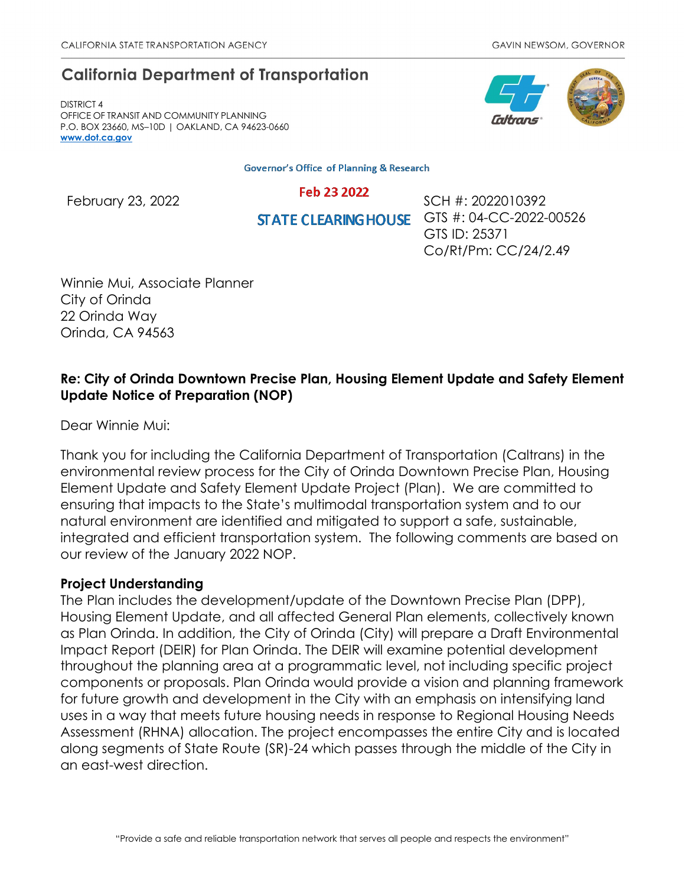# **California Department of Transportation**

DISTRICT 4 OFFICE OF TRANSIT AND COMMUNITY PLANNING P.O. BOX 23660, MS–10D | OAKLAND, CA 94623-0660 **[www.dot.ca.gov](http://www.dot.ca.gov/)**

**Governor's Office of Planning & Research** 

Feb 23 2022<br>SCH #: 2022010392<br>SCH #: 2022010392 **STATE CLEARING HOUSE** GTS #: 04-CC-2022-00526 GTS ID: 25371 Co/Rt/Pm: CC/24/2.49

Winnie Mui, Associate Planner City of Orinda 22 Orinda Way Orinda, CA 94563

## **Re: City of Orinda Downtown Precise Plan, Housing Element Update and Safety Element Update Notice of Preparation (NOP)**

Dear Winnie Mui:

Thank you for including the California Department of Transportation (Caltrans) in the environmental review process for the City of Orinda Downtown Precise Plan, Housing Element Update and Safety Element Update Project (Plan). We are committed to ensuring that impacts to the State's multimodal transportation system and to our natural environment are identified and mitigated to support a safe, sustainable, integrated and efficient transportation system. The following comments are based on our review of the January 2022 NOP.

#### **Project Understanding**

The Plan includes the development/update of the Downtown Precise Plan (DPP), Housing Element Update, and all affected General Plan elements, collectively known as Plan Orinda. In addition, the City of Orinda (City) will prepare a Draft Environmental Impact Report (DEIR) for Plan Orinda. The DEIR will examine potential development throughout the planning area at a programmatic level, not including specific project components or proposals. Plan Orinda would provide a vision and planning framework for future growth and development in the City with an emphasis on intensifying land uses in a way that meets future housing needs in response to Regional Housing Needs Assessment (RHNA) allocation. The project encompasses the entire City and is located along segments of State Route (SR)-24 which passes through the middle of the City in an east-west direction.

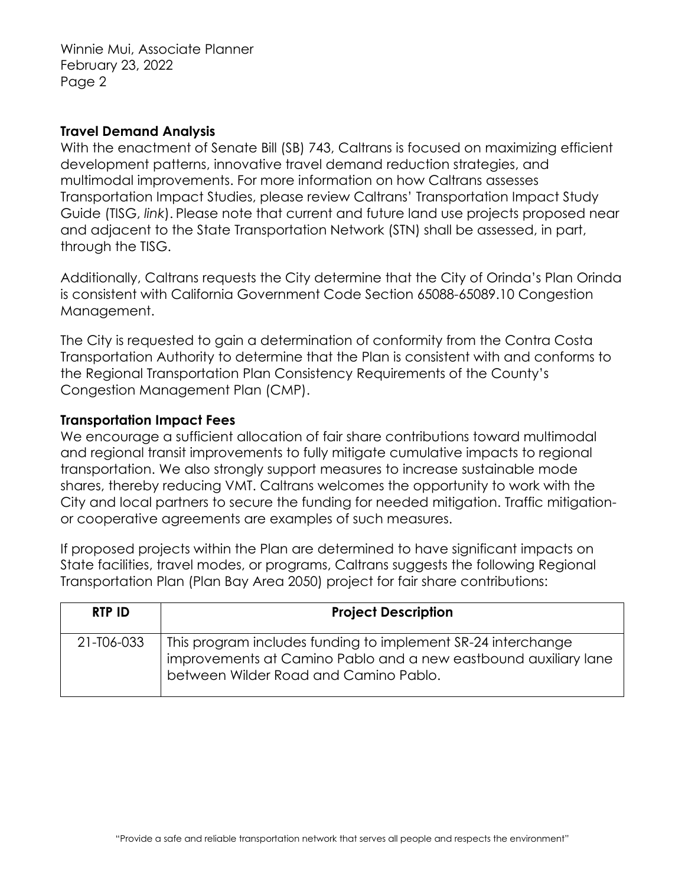Winnie Mui, Associate Planner February 23, 2022 Page 2

#### **Travel Demand Analysis**

With the enactment of Senate Bill (SB) 743, Caltrans is focused on maximizing efficient development patterns, innovative travel demand reduction strategies, and multimodal improvements. For more information on how Caltrans assesses Transportation Impact Studies, please review Caltrans' [Transportation Impact Study](https://dot.ca.gov/-/media/dot-media/programs/transportation-planning/documents/sb-743/2020-05-20-approved-vmt-focused-tisg-a11y.pdf)  [Guide \(T](https://dot.ca.gov/-/media/dot-media/programs/transportation-planning/documents/sb-743/2020-05-20-approved-vmt-focused-tisg-a11y.pdf)ISG, *[link](https://dot.ca.gov/-/media/dot-media/programs/transportation-planning/documents/sb-743/2020-05-20-approved-vmt-focused-tisg-a11y.pdf)*[\).](https://dot.ca.gov/-/media/dot-media/programs/transportation-planning/documents/sb-743/2020-05-20-approved-vmt-focused-tisg-a11y.pdf) Please note that current and future land use projects proposed near and adjacent to the State Transportation Network (STN) shall be assessed, in part, through the TISG.

Additionally, Caltrans requests the City determine that the City of Orinda's Plan Orinda is consistent with California Government Code Section 65088-65089.10 Congestion Management.

The City is requested to gain a determination of conformity from the Contra Costa Transportation Authority to determine that the Plan is consistent with and conforms to the Regional Transportation Plan Consistency Requirements of the County's Congestion Management Plan (CMP).

### **Transportation Impact Fees**

We encourage a sufficient allocation of fair share contributions toward multimodal and regional transit improvements to fully mitigate cumulative impacts to regional transportation. We also strongly support measures to increase sustainable mode shares, thereby reducing VMT. Caltrans welcomes the opportunity to work with the City and local partners to secure the funding for needed mitigation. Traffic mitigationor cooperative agreements are examples of such measures.

If proposed projects within the Plan are determined to have significant impacts on State facilities, travel modes, or programs, Caltrans suggests the following Regional Transportation Plan (Plan Bay Area 2050) project for fair share contributions:

| <b>RTP ID</b> | <b>Project Description</b>                                                                                                                                               |
|---------------|--------------------------------------------------------------------------------------------------------------------------------------------------------------------------|
| 21-T06-033    | This program includes funding to implement SR-24 interchange<br>improvements at Camino Pablo and a new eastbound auxiliary lane<br>between Wilder Road and Camino Pablo. |